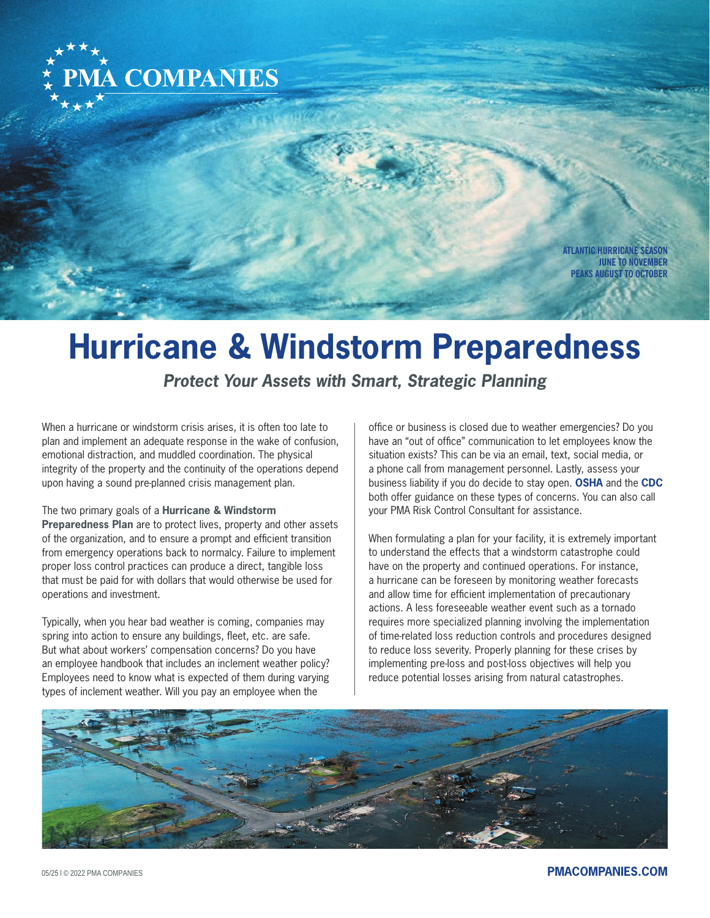

**ATLANTIC HURRICANE SEASON JUNE TO NOVEMBER PEAKS AUGUST TO OCTOBER**

# **Hurricane & Windstorm Preparedness**

*Protect Your Assets with Smart, Strategic Planning*

When a hurricane or windstorm crisis arises, it is often too late to plan and implement an adequate response in the wake of confusion, emotional distraction, and muddled coordination. The physical integrity of the property and the continuity of the operations depend upon having a sound pre-planned crisis management plan.

#### The two primary goals of a **Hurricane & Windstorm**

**Preparedness Plan** are to protect lives, property and other assets of the organization, and to ensure a prompt and efficient transition from emergency operations back to normalcy. Failure to implement proper loss control practices can produce a direct, tangible loss that must be paid for with dollars that would otherwise be used for operations and investment.

Typically, when you hear bad weather is coming, companies may spring into action to ensure any buildings, fleet, etc. are safe. But what about workers' compensation concerns? Do you have an employee handbook that includes an inclement weather policy? Employees need to know what is expected of them during varying types of inclement weather. Will you pay an employee when the

office or business is closed due to weather emergencies? Do you have an "out of office" communication to let employees know the situation exists? This can be via an email, text, social media, or a phone call from management personnel. Lastly, assess your business liability if you do decide to stay open. **[OSHA](www.osha.gov)** and the **[CDC](www.cdc.gov)** both offer guidance on these types of concerns. You can also call your PMA Risk Control Consultant for assistance.

When formulating a plan for your facility, it is extremely important to understand the effects that a windstorm catastrophe could have on the property and continued operations. For instance, a hurricane can be foreseen by monitoring weather forecasts and allow time for efficient implementation of precautionary actions. A less foreseeable weather event such as a tornado requires more specialized planning involving the implementation of time-related loss reduction controls and procedures designed to reduce loss severity. Properly planning for these crises by implementing pre-loss and post-loss objectives will help you reduce potential losses arising from natural catastrophes.



05/25 l © 2022 PMA COMPANIES **[PMACOMPANIES.COM](https://www.pmacompanies.com)**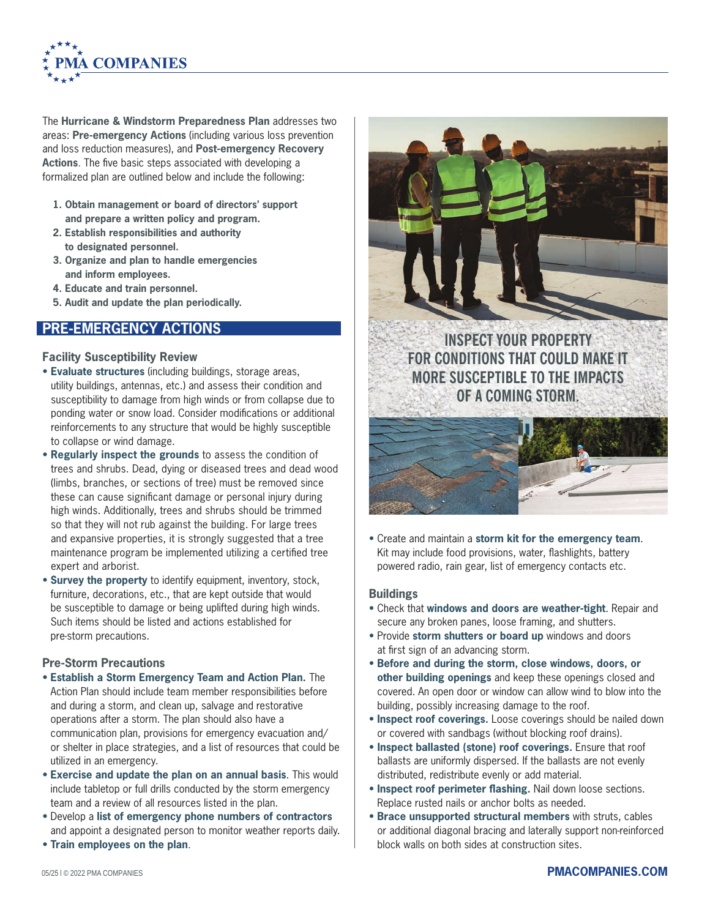

The **Hurricane & Windstorm Preparedness Plan** addresses two areas: **Pre-emergency Actions** (including various loss prevention and loss reduction measures), and **Post-emergency Recovery Actions**. The five basic steps associated with developing a formalized plan are outlined below and include the following:

- **1. Obtain management or board of directors' support and prepare a written policy and program.**
- **2. Establish responsibilities and authority to designated personnel.**
- **3. Organize and plan to handle emergencies and inform employees.**
- **4. Educate and train personnel.**
- **5. Audit and update the plan periodically.**

## **PRE-EMERGENCY ACTIONS**

#### **Facility Susceptibility Review**

- • **Evaluate structures** (including buildings, storage areas, utility buildings, antennas, etc.) and assess their condition and susceptibility to damage from high winds or from collapse due to ponding water or snow load. Consider modifications or additional reinforcements to any structure that would be highly susceptible to collapse or wind damage.
- **Regularly inspect the grounds** to assess the condition of trees and shrubs. Dead, dying or diseased trees and dead wood (limbs, branches, or sections of tree) must be removed since these can cause significant damage or personal injury during high winds. Additionally, trees and shrubs should be trimmed so that they will not rub against the building. For large trees and expansive properties, it is strongly suggested that a tree maintenance program be implemented utilizing a certified tree expert and arborist.
- **Survey the property** to identify equipment, inventory, stock, furniture, decorations, etc., that are kept outside that would be susceptible to damage or being uplifted during high winds. Such items should be listed and actions established for pre-storm precautions.

### **Pre-Storm Precautions**

- **Establish a Storm Emergency Team and Action Plan.** The Action Plan should include team member responsibilities before and during a storm, and clean up, salvage and restorative operations after a storm. The plan should also have a communication plan, provisions for emergency evacuation and/ or shelter in place strategies, and a list of resources that could be utilized in an emergency.
- • **Exercise and update the plan on an annual basis**. This would include tabletop or full drills conducted by the storm emergency team and a review of all resources listed in the plan.
- Develop a **list of emergency phone numbers of contractors** and appoint a designated person to monitor weather reports daily.
- **Train employees on the plan**.



• Create and maintain a **storm kit for the emergency team**. Kit may include food provisions, water, flashlights, battery powered radio, rain gear, list of emergency contacts etc.

#### **Buildings**

- Check that **windows and doors are weather-tight**. Repair and secure any broken panes, loose framing, and shutters.
- Provide **storm shutters or board up** windows and doors at first sign of an advancing storm.
- **Before and during the storm, close windows, doors, or other building openings** and keep these openings closed and covered. An open door or window can allow wind to blow into the building, possibly increasing damage to the roof.
- • **Inspect roof coverings.** Loose coverings should be nailed down or covered with sandbags (without blocking roof drains).
- • **Inspect ballasted (stone) roof coverings.** Ensure that roof ballasts are uniformly dispersed. If the ballasts are not evenly distributed, redistribute evenly or add material.
- • **Inspect roof perimeter flashing.** Nail down loose sections. Replace rusted nails or anchor bolts as needed.
- **Brace unsupported structural members** with struts, cables or additional diagonal bracing and laterally support non-reinforced block walls on both sides at construction sites.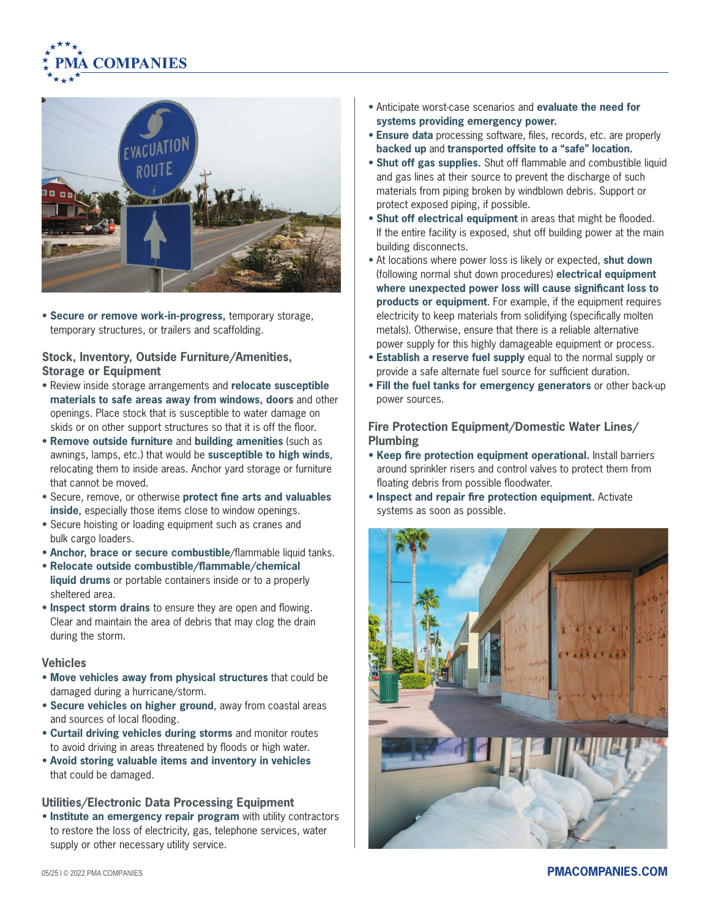



• **Secure or remove work-in-progress,** temporary storage, temporary structures, or trailers and scaffolding.

### **Stock, Inventory, Outside Furniture/Amenities, Storage or Equipment**

- Review inside storage arrangements and **relocate susceptible materials to safe areas away from windows, doors** and other openings. Place stock that is susceptible to water damage on skids or on other support structures so that it is off the floor.
- **Remove outside furniture** and **building amenities** (such as awnings, lamps, etc.) that would be **susceptible to high winds**, relocating them to inside areas. Anchor yard storage or furniture that cannot be moved.
- Secure, remove, or otherwise **protect fine arts and valuables inside**, especially those items close to window openings.
- Secure hoisting or loading equipment such as cranes and bulk cargo loaders.
- **Anchor, brace or secure combustible**/flammable liquid tanks.
- **Relocate outside combustible/flammable/chemical liquid drums** or portable containers inside or to a properly
- sheltered area. • **Inspect storm drains** to ensure they are open and flowing. Clear and maintain the area of debris that may clog the drain during the storm.

#### **Vehicles**

- **Move vehicles away from physical structures** that could be damaged during a hurricane/storm.
- **Secure vehicles on higher ground**, away from coastal areas and sources of local flooding.
- **Curtail driving vehicles during storms** and monitor routes to avoid driving in areas threatened by floods or high water.
- **Avoid storing valuable items and inventory in vehicles** that could be damaged.

#### **Utilities/Electronic Data Processing Equipment**

• **Institute an emergency repair program** with utility contractors to restore the loss of electricity, gas, telephone services, water supply or other necessary utility service.

- Anticipate worst-case scenarios and **evaluate the need for systems providing emergency power.**
- **Ensure data** processing software, files, records, etc. are properly **backed up** and **transported offsite to a "safe" location.**
- **Shut off gas supplies.** Shut off flammable and combustible liquid and gas lines at their source to prevent the discharge of such materials from piping broken by windblown debris. Support or protect exposed piping, if possible.
- **Shut off electrical equipment** in areas that might be flooded. If the entire facility is exposed, shut off building power at the main building disconnects.
- At locations where power loss is likely or expected, **shut down** (following normal shut down procedures) **electrical equipment where unexpected power loss will cause significant loss to products or equipment**. For example, if the equipment requires electricity to keep materials from solidifying (specifically molten metals). Otherwise, ensure that there is a reliable alternative power supply for this highly damageable equipment or process.
- **Establish a reserve fuel supply** equal to the normal supply or provide a safe alternate fuel source for sufficient duration.
- **Fill the fuel tanks for emergency generators** or other back-up power sources.

### **Fire Protection Equipment/Domestic Water Lines/ Plumbing**

- **Keep fire protection equipment operational.** Install barriers around sprinkler risers and control valves to protect them from floating debris from possible floodwater.
- • **Inspect and repair fire protection equipment.** Activate systems as soon as possible.